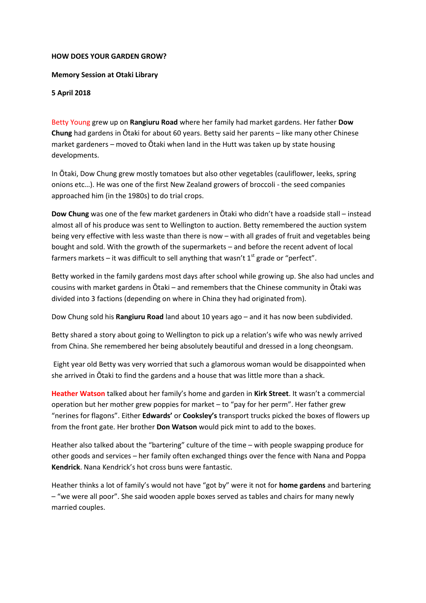## **HOW DOES YOUR GARDEN GROW?**

## **Memory Session at Otaki Library**

## **5 April 2018**

Betty Young grew up on **Rangiuru Road** where her family had market gardens. Her father **Dow Chung** had gardens in Ōtaki for about 60 years. Betty said her parents – like many other Chinese market gardeners – moved to Ōtaki when land in the Hutt was taken up by state housing developments.

In Ōtaki, Dow Chung grew mostly tomatoes but also other vegetables (cauliflower, leeks, spring onions etc…). He was one of the first New Zealand growers of broccoli - the seed companies approached him (in the 1980s) to do trial crops.

**Dow Chung** was one of the few market gardeners in Ōtaki who didn't have a roadside stall – instead almost all of his produce was sent to Wellington to auction. Betty remembered the auction system being very effective with less waste than there is now – with all grades of fruit and vegetables being bought and sold. With the growth of the supermarkets – and before the recent advent of local farmers markets – it was difficult to sell anything that wasn't  $1<sup>st</sup>$  grade or "perfect".

Betty worked in the family gardens most days after school while growing up. She also had uncles and cousins with market gardens in Ōtaki – and remembers that the Chinese community in Ōtaki was divided into 3 factions (depending on where in China they had originated from).

Dow Chung sold his **Rangiuru Road** land about 10 years ago – and it has now been subdivided.

Betty shared a story about going to Wellington to pick up a relation's wife who was newly arrived from China. She remembered her being absolutely beautiful and dressed in a long cheongsam.

Eight year old Betty was very worried that such a glamorous woman would be disappointed when she arrived in Ōtaki to find the gardens and a house that was little more than a shack.

**Heather Watson** talked about her family's home and garden in **Kirk Street**. It wasn't a commercial operation but her mother grew poppies for market – to "pay for her perm". Her father grew "nerines for flagons". Either **Edwards'** or **Cooksley's** transport trucks picked the boxes of flowers up from the front gate. Her brother **Don Watson** would pick mint to add to the boxes.

Heather also talked about the "bartering" culture of the time – with people swapping produce for other goods and services – her family often exchanged things over the fence with Nana and Poppa **Kendrick**. Nana Kendrick's hot cross buns were fantastic.

Heather thinks a lot of family's would not have "got by" were it not for **home gardens** and bartering – "we were all poor". She said wooden apple boxes served as tables and chairs for many newly married couples.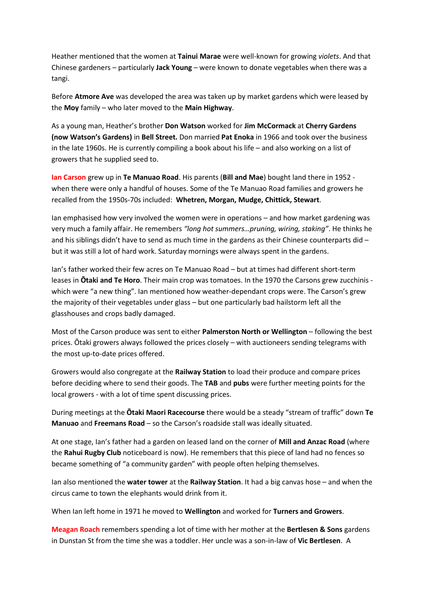Heather mentioned that the women at **Tainui Marae** were well-known for growing *violets*. And that Chinese gardeners – particularly **Jack Young** – were known to donate vegetables when there was a tangi.

Before **Atmore Ave** was developed the area was taken up by market gardens which were leased by the **Moy** family – who later moved to the **Main Highway**.

As a young man, Heather's brother **Don Watson** worked for **Jim McCormack** at **Cherry Gardens (now Watson's Gardens)** in **Bell Street.** Don married **Pat Enoka** in 1966 and took over the business in the late 1960s. He is currently compiling a book about his life – and also working on a list of growers that he supplied seed to.

**Ian Carson** grew up in **Te Manuao Road**. His parents (**Bill and Mae**) bought land there in 1952 when there were only a handful of houses. Some of the Te Manuao Road families and growers he recalled from the 1950s-70s included: **Whetren, Morgan, Mudge, Chittick, Stewart**.

Ian emphasised how very involved the women were in operations – and how market gardening was very much a family affair. He remembers *"long hot summers…pruning, wiring, staking"*. He thinks he and his siblings didn't have to send as much time in the gardens as their Chinese counterparts did – but it was still a lot of hard work. Saturday mornings were always spent in the gardens.

Ian's father worked their few acres on Te Manuao Road – but at times had different short-term leases in **Ōtaki and Te Horo**. Their main crop was tomatoes. In the 1970 the Carsons grew zucchinis which were "a new thing". Ian mentioned how weather-dependant crops were. The Carson's grew the majority of their vegetables under glass – but one particularly bad hailstorm left all the glasshouses and crops badly damaged.

Most of the Carson produce was sent to either **Palmerston North or Wellington** – following the best prices. Ōtaki growers always followed the prices closely – with auctioneers sending telegrams with the most up-to-date prices offered.

Growers would also congregate at the **Railway Station** to load their produce and compare prices before deciding where to send their goods. The **TAB** and **pubs** were further meeting points for the local growers - with a lot of time spent discussing prices.

During meetings at the **Ōtaki Maori Racecourse** there would be a steady "stream of traffic" down **Te Manuao** and **Freemans Road** – so the Carson's roadside stall was ideally situated.

At one stage, Ian's father had a garden on leased land on the corner of **Mill and Anzac Road** (where the **Rahui Rugby Club** noticeboard is now). He remembers that this piece of land had no fences so became something of "a community garden" with people often helping themselves.

Ian also mentioned the **water tower** at the **Railway Station**. It had a big canvas hose – and when the circus came to town the elephants would drink from it.

When Ian left home in 1971 he moved to **Wellington** and worked for **Turners and Growers**.

**Meagan Roach** remembers spending a lot of time with her mother at the **Bertlesen & Sons** gardens in Dunstan St from the time she was a toddler. Her uncle was a son-in-law of **Vic Bertlesen**. A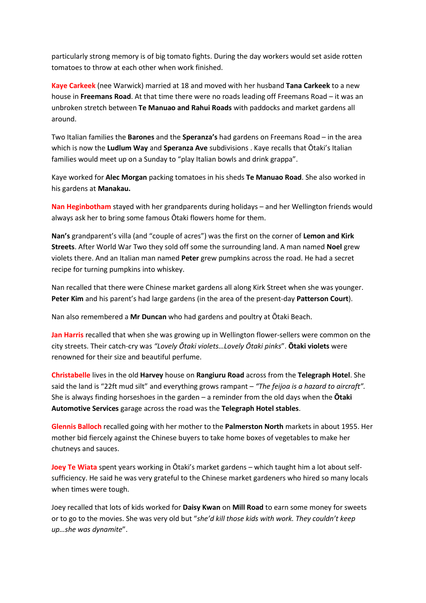particularly strong memory is of big tomato fights. During the day workers would set aside rotten tomatoes to throw at each other when work finished.

**Kaye Carkeek** (nee Warwick) married at 18 and moved with her husband **Tana Carkeek** to a new house in **Freemans Road**. At that time there were no roads leading off Freemans Road – it was an unbroken stretch between **Te Manuao and Rahui Roads** with paddocks and market gardens all around.

Two Italian families the **Barones** and the **Speranza's** had gardens on Freemans Road – in the area which is now the **Ludlum Way** and **Speranza Ave** subdivisions . Kaye recalls that Ōtaki's Italian families would meet up on a Sunday to "play Italian bowls and drink grappa".

Kaye worked for **Alec Morgan** packing tomatoes in his sheds **Te Manuao Road**. She also worked in his gardens at **Manakau.**

**Nan Heginbotham** stayed with her grandparents during holidays – and her Wellington friends would always ask her to bring some famous Ōtaki flowers home for them.

**Nan's** grandparent's villa (and "couple of acres") was the first on the corner of **Lemon and Kirk Streets**. After World War Two they sold off some the surrounding land. A man named **Noel** grew violets there. And an Italian man named **Peter** grew pumpkins across the road. He had a secret recipe for turning pumpkins into whiskey.

Nan recalled that there were Chinese market gardens all along Kirk Street when she was younger. **Peter Kim** and his parent's had large gardens (in the area of the present-day **Patterson Court**).

Nan also remembered a **Mr Duncan** who had gardens and poultry at Ōtaki Beach.

**Jan Harris** recalled that when she was growing up in Wellington flower-sellers were common on the city streets. Their catch-cry was *"Lovely Ōtaki violets…Lovely Ōtaki pinks*". **Ōtaki violets** were renowned for their size and beautiful perfume.

**Christabelle** lives in the old **Harvey** house on **Rangiuru Road** across from the **Telegraph Hotel**. She said the land is "22ft mud silt" and everything grows rampant – *"The feijoa is a hazard to aircraft".* She is always finding horseshoes in the garden – a reminder from the old days when the **Ōtaki Automotive Services** garage across the road was the **Telegraph Hotel stables**.

**Glennis Balloch** recalled going with her mother to the **Palmerston North** markets in about 1955. Her mother bid fiercely against the Chinese buyers to take home boxes of vegetables to make her chutneys and sauces.

**Joey Te Wiata** spent years working in Ōtaki's market gardens – which taught him a lot about selfsufficiency. He said he was very grateful to the Chinese market gardeners who hired so many locals when times were tough.

Joey recalled that lots of kids worked for **Daisy Kwan** on **Mill Road** to earn some money for sweets or to go to the movies. She was very old but "*she'd kill those kids with work. They couldn't keep up…she was dynamite*".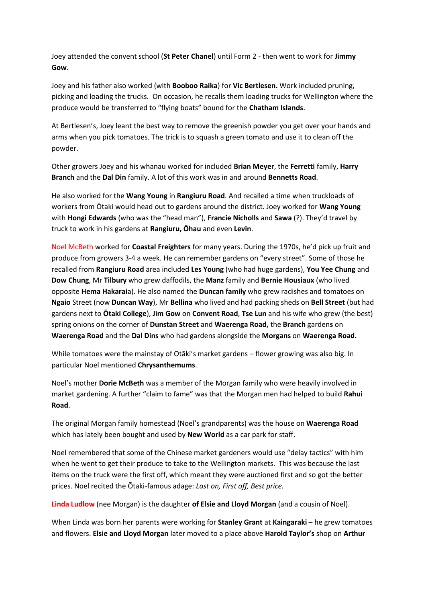Joey attended the convent school (**St Peter Chanel**) until Form 2 - then went to work for **Jimmy Gow**.

Joey and his father also worked (with **Booboo Raika**) for **Vic Bertlesen.** Work included pruning, picking and loading the trucks. On occasion, he recalls them loading trucks for Wellington where the produce would be transferred to "flying boats" bound for the **Chatham Islands**.

At Bertlesen's, Joey leant the best way to remove the greenish powder you get over your hands and arms when you pick tomatoes. The trick is to squash a green tomato and use it to clean off the powder.

Other growers Joey and his whanau worked for included **Brian Meyer**, the **Ferretti** family, **Harry Branch** and the **Dal Din** family. A lot of this work was in and around **Bennetts Road**.

He also worked for the **Wang Young** in **Rangiuru Road**. And recalled a time when truckloads of workers from Ōtaki would head out to gardens around the district. Joey worked for **Wang Young** with **Hongi Edwards** (who was the "head man"), **Francie Nicholls** and **Sawa** (?). They'd travel by truck to work in his gardens at **Rangiuru, Ōhau** and even **Levin**.

Noel McBeth worked for **Coastal Freighters** for many years. During the 1970s, he'd pick up fruit and produce from growers 3-4 a week. He can remember gardens on "every street". Some of those he recalled from **Rangiuru Road** area included **Les Young** (who had huge gardens), **You Yee Chung** and **Dow Chung**, Mr **Tilbury** who grew daffodils, the **Manz** family and **Bernie Housiaux** (who lived opposite **Hema Hakarai**a). He also named the **Duncan family** who grew radishes and tomatoes on **Ngaio** Street (now **Duncan Way**), Mr **Bellina** who lived and had packing sheds on **Bell Street** (but had gardens next to **Ōtaki College**), **Jim Gow** on **Convent Road**, **Tse Lun** and his wife who grew (the best) spring onions on the corner of **Dunstan Street** and **Waerenga Road,** the **Branch** garden**s** on **Waerenga Road** and the **Dal Dins** who had gardens alongside the **Morgans** on **Waerenga Road.**

While tomatoes were the mainstay of Otāki's market gardens – flower growing was also big. In particular Noel mentioned **Chrysanthemums**.

Noel's mother **Dorie McBeth** was a member of the Morgan family who were heavily involved in market gardening. A further "claim to fame" was that the Morgan men had helped to build **Rahui Road**.

The original Morgan family homestead (Noel's grandparents) was the house on **Waerenga Road** which has lately been bought and used by **New World** as a car park for staff.

Noel remembered that some of the Chinese market gardeners would use "delay tactics" with him when he went to get their produce to take to the Wellington markets. This was because the last items on the truck were the first off, which meant they were auctioned first and so got the better prices. Noel recited the Ōtaki-famous adage: *Last on, First off, Best price.*

**Linda Ludlow** (nee Morgan) is the daughter **of Elsie and Lloyd Morgan** (and a cousin of Noel).

When Linda was born her parents were working for **Stanley Grant** at **Kaingaraki** – he grew tomatoes and flowers. **Elsie and Lloyd Morgan** later moved to a place above **Harold Taylor's** shop on **Arthur**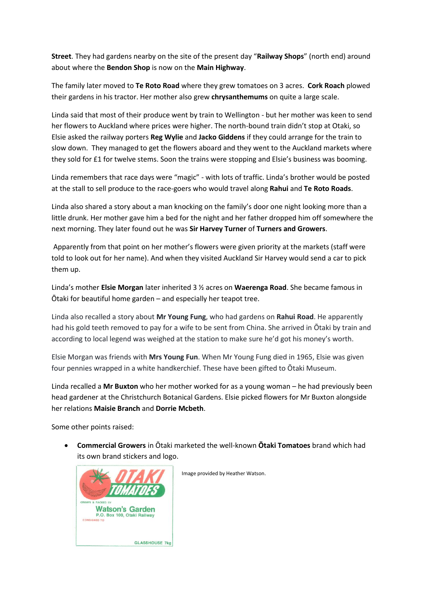**Street**. They had gardens nearby on the site of the present day "**Railway Shops**" (north end) around about where the **Bendon Shop** is now on the **Main Highway**.

The family later moved to **Te Roto Road** where they grew tomatoes on 3 acres. **Cork Roach** plowed their gardens in his tractor. Her mother also grew **chrysanthemums** on quite a large scale.

Linda said that most of their produce went by train to Wellington - but her mother was keen to send her flowers to Auckland where prices were higher. The north-bound train didn't stop at Otaki, so Elsie asked the railway porters **Reg Wylie** and **Jacko Giddens** if they could arrange for the train to slow down. They managed to get the flowers aboard and they went to the Auckland markets where they sold for £1 for twelve stems. Soon the trains were stopping and Elsie's business was booming.

Linda remembers that race days were "magic" - with lots of traffic. Linda's brother would be posted at the stall to sell produce to the race-goers who would travel along **Rahui** and **Te Roto Roads**.

Linda also shared a story about a man knocking on the family's door one night looking more than a little drunk. Her mother gave him a bed for the night and her father dropped him off somewhere the next morning. They later found out he was **Sir Harvey Turner** of **Turners and Growers**.

Apparently from that point on her mother's flowers were given priority at the markets (staff were told to look out for her name). And when they visited Auckland Sir Harvey would send a car to pick them up.

Linda's mother **Elsie Morgan** later inherited 3 ½ acres on **Waerenga Road**. She became famous in Ōtaki for beautiful home garden – and especially her teapot tree.

Linda also recalled a story about **Mr Young Fung**, who had gardens on **Rahui Road**. He apparently had his gold teeth removed to pay for a wife to be sent from China. She arrived in Ōtaki by train and according to local legend was weighed at the station to make sure he'd got his money's worth.

Elsie Morgan was friends with **Mrs Young Fun**. When Mr Young Fung died in 1965, Elsie was given four pennies wrapped in a white handkerchief. These have been gifted to Ōtaki Museum.

Linda recalled a **Mr Buxton** who her mother worked for as a young woman – he had previously been head gardener at the Christchurch Botanical Gardens. Elsie picked flowers for Mr Buxton alongside her relations **Maisie Branch** and **Dorrie Mcbeth**.

Some other points raised:

 **Commercial Growers** in Ōtaki marketed the well-known **Ōtaki Tomatoes** brand which had its own brand stickers and logo.



Image provided by Heather Watson.